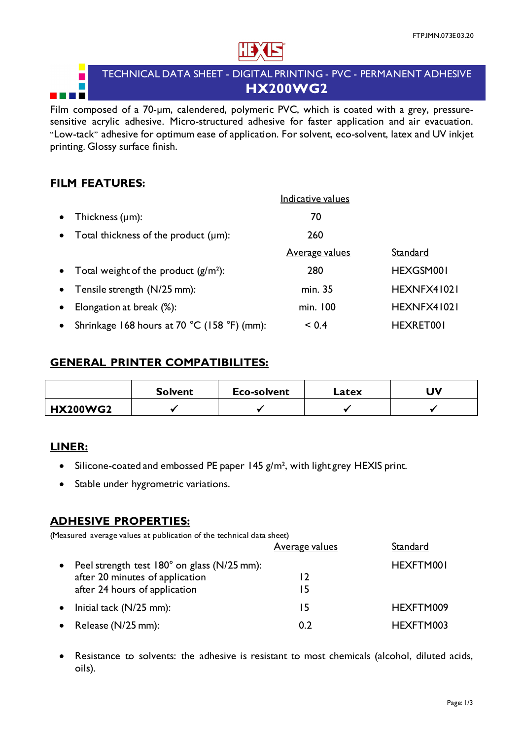

# TECHNICAL DATA SHEET - DIGITAL PRINTING - PVC - PERMANENT ADHESIVE **HX200WG2**

Film composed of a 70-um, calendered, polymeric PVC, which is coated with a grey, pressuresensitive acrylic adhesive. Micro-structured adhesive for faster application and air evacuation. "Low-tack" adhesive for optimum ease of application. For solvent, eco-solvent, latex and UV inkjet printing. Glossy surface finish.

### **FILM FEATURES:**

П

<u> Tanzania de la pro</u>

|           |                                             | Indicative values     |             |
|-----------|---------------------------------------------|-----------------------|-------------|
| $\bullet$ | Thickness $(\mu m)$ :                       | 70                    |             |
| $\bullet$ | Total thickness of the product $(\mu m)$ :  | 260                   |             |
|           |                                             | <b>Average values</b> | Standard    |
| $\bullet$ | Total weight of the product $(g/m^2)$ :     | 280                   | HEXGSM001   |
| $\bullet$ | Tensile strength (N/25 mm):                 | min. 35               | HEXNFX41021 |
|           | Elongation at break (%):                    | min. 100              | HEXNFX41021 |
| $\bullet$ | Shrinkage 168 hours at 70 °C (158 °F) (mm): | < 0.4                 | HEXRET001   |

#### **GENERAL PRINTER COMPATIBILITES:**

|                 | <b>Solvent</b> | <b>Eco-solvent</b> | Latex | JV |
|-----------------|----------------|--------------------|-------|----|
| <b>HX200WG2</b> |                |                    |       |    |

### **LINER:**

- Silicone-coated and embossed PE paper 145  $g/m^2$ , with light grey HEXIS print.
- Stable under hygrometric variations.

#### **ADHESIVE PROPERTIES:**

(Measured average values at publication of the technical data sheet)

|                                               | <b>Average values</b> | Standard  |
|-----------------------------------------------|-----------------------|-----------|
| • Peel strength test 180° on glass (N/25 mm): |                       | HEXFTM001 |
| after 20 minutes of application               | 12                    |           |
| after 24 hours of application                 | 15                    |           |
| $\bullet$ Initial tack (N/25 mm):             | 15                    | HEXFTM009 |
| • Release $(N/25$ mm):                        | 0.2                   | HEXFTM003 |

• Resistance to solvents: the adhesive is resistant to most chemicals (alcohol, diluted acids, oils).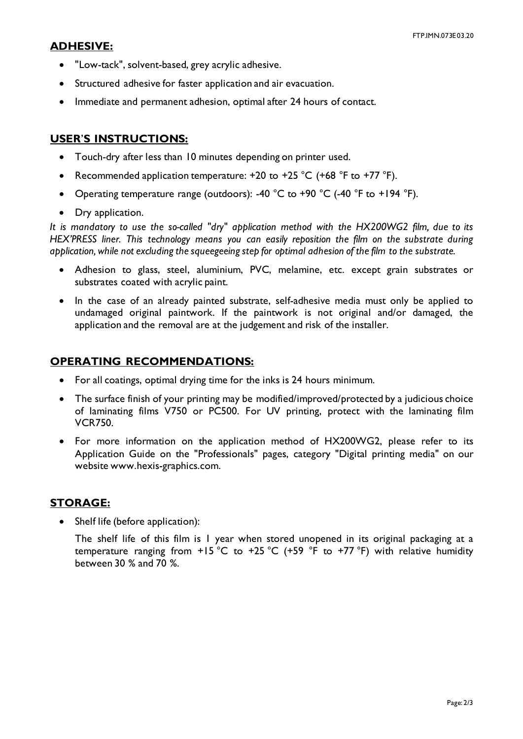#### **ADHESIVE:**

- "Low-tack", solvent-based, grey acrylic adhesive.
- Structured adhesive for faster application and air evacuation.
- Immediate and permanent adhesion, optimal after 24 hours of contact.

### **USER**'**S INSTRUCTIONS:**

- Touch-dry after less than 10 minutes depending on printer used.
- Recommended application temperature:  $+20$  to  $+25$  °C ( $+68$  °F to  $+77$  °F).
- Operating temperature range (outdoors): -40 °C to +90 °C (-40 °F to +194 °F).
- Dry application.

*It is mandatory to use the so-called "dry" application method with the HX200WG2 film, due to its HEX'PRESS liner. This technology means you can easily reposition the film on the substrate during application, while not excluding the squeegeeing step for optimal adhesion of the film to the substrate.* 

- Adhesion to glass, steel, aluminium, PVC, melamine, etc. except grain substrates or substrates coated with acrylic paint.
- In the case of an already painted substrate, self-adhesive media must only be applied to undamaged original paintwork. If the paintwork is not original and/or damaged, the application and the removal are at the judgement and risk of the installer.

# **OPERATING RECOMMENDATIONS:**

- For all coatings, optimal drying time for the inks is 24 hours minimum.
- The surface finish of your printing may be modified/improved/protected by a judicious choice of laminating films V750 or PC500. For UV printing, protect with the laminating film VCR750.
- For more information on the application method of HX200WG2, please refer to its Application Guide on the "Professionals" pages, category "Digital printing media" on our website www.hexis-graphics.com.

# **STORAGE:**

Shelf life (before application):

The shelf life of this film is 1 year when stored unopened in its original packaging at a temperature ranging from  $+15 \degree C$  to  $+25 \degree C$  (+59  $\degree F$  to  $+77 \degree F$ ) with relative humidity between 30 % and 70 %.